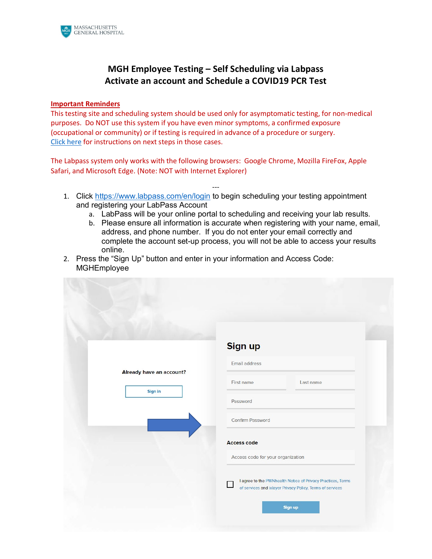

# **MGH Employee Testing – Self Scheduling via Labpass Activate an account and Schedule a COVID19 PCR Test**

## **Important Reminders**

This testing site and scheduling system should be used only for asymptomatic testing, for non-medical purposes. Do NOT use this system if you have even minor symptoms, a confirmed exposure (occupational or community) or if testing is required in advance of a procedure or surgery. [Click here](http://apollo.massgeneral.org/coronavirus/wp-content/uploads/sites/78/2020/10/Who-to-contact-when-not-Employee-Testing-Center.pdf) for instructions on next steps in those cases.

The Labpass system only works with the following browsers: Google Chrome, Mozilla FireFox, Apple Safari, and Microsoft Edge. (Note: NOT with Internet Explorer)

- -- 1. Click<https://www.labpass.com/en/login> to begin scheduling your testing appointment and registering your LabPass Account
	- a. LabPass will be your online portal to scheduling and receiving your lab results.
	- b. Please ensure all information is accurate when registering with your name, email, address, and phone number. If you do not enter your email correctly and complete the account set-up process, you will not be able to access your results online.
- 2. Press the "Sign Up" button and enter in your information and Access Code: MGHEmployee

|                          | <b>Sign up</b>                                                                                                           |
|--------------------------|--------------------------------------------------------------------------------------------------------------------------|
|                          | Email address                                                                                                            |
| Already have an account? | First name<br>Last name                                                                                                  |
| Sign in                  | Password                                                                                                                 |
|                          | Confirm Password                                                                                                         |
|                          | <b>Access code</b>                                                                                                       |
|                          | Access code for your organization                                                                                        |
|                          | I agree to the PWNhealth Notice of Privacy Practices, Terms<br>of services and ixlayer Privacy Policy, Terms of services |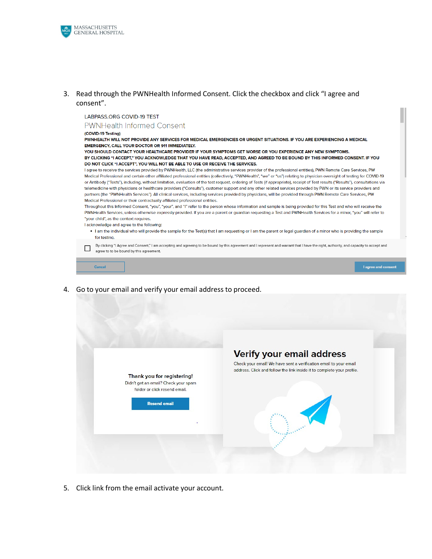

## 3. Read through the PWNHealth Informed Consent. Click the checkbox and click "I agree and consent".

#### LABPASS.ORG COVID-19 TEST

**PWNHealth Informed Consent** 

(COVID-19 Testing)

PWNHEALTH WILL NOT PROVIDE ANY SERVICES FOR MEDICAL EMERGENCIES OR URGENT SITUATIONS. IF YOU ARE EXPERIENCING A MEDICAL EMERGENCY, CALL YOUR DOCTOR OR 911 IMMEDIATELY.

YOU SHOULD CONTACT YOUR HEALTHCARE PROVIDER IF YOUR SYMPTOMS GET WORSE OR YOU EXPERIENCE ANY NEW SYMPTOMS. BY CLICKING "I ACCEPT," YOU ACKNOWLEDGE THAT YOU HAVE READ, ACCEPTED, AND AGREED TO BE BOUND BY THIS INFORMED CONSENT. IF YOU DO NOT CLICK "I ACCEPT", YOU WILL NOT BE ABLE TO USE OR RECEIVE THE SERVICES.

I agree to receive the services provided by PWNHealth, LLC (the administrative services provider of the professional entities), PWN Remote Care Services, PW Medical Professional and certain other affiliated professional entities (collectively, "PWNHealth", "we" or "us") relating to physician oversight of testing for COVID-19 or Antibody ("Tests"), including, without limitation, evaluation of the test request, ordering of Tests (if appropriate), receipt of Test results ("Results"), consultations via telemedicine with physicians or healthcare providers ("Consults"), customer support and any other related services provided by PWN or its service providers and partners (the "PWNHealth Services"). All clinical services, including services provided by physicians, will be provided through PWN Remote Care Services, PW Medical Professional or their contractually affiliated professional entities.

Throughout this Informed Consent, "you", "your", and "I" refer to the person whose information and sample is being provided for this Test and who will receive the PWNHealth Services, unless otherwise expressly provided. If you are a parent or guardian requesting a Test and PWNHealth Services for a minor, "you" will refer to "your child", as the context requires.

I acknowledge and agree to the following:

- . I am the individual who will provide the sample for the Test(s) that I am requesting or I am the parent or legal guardian of a minor who is providing the sample for testing.
- By clicking "I Agree and Consent," I am accepting and agreeing to be bound by this agreement and I represent and warrant that I have the right, authority, and capacity to accept and  $\Box$ agree to to be bound by this agreement.



4. Go to your email and verify your email address to proceed.



5. Click link from the email activate your account.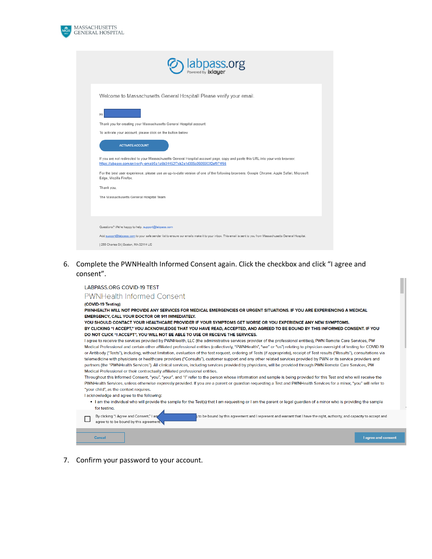

| <b>b</b> labpass.org                                                                                                                                                                                          |
|---------------------------------------------------------------------------------------------------------------------------------------------------------------------------------------------------------------|
| Welcome to Massachusetts General Hospital! Please verify your email.                                                                                                                                          |
| Hi                                                                                                                                                                                                            |
| Thank you for creating your Massachusetts General Hospital account.                                                                                                                                           |
| To activate your account, please click on the button below.                                                                                                                                                   |
| <b>ACTIVATE ACCOUNT</b>                                                                                                                                                                                       |
| If you are not redirected to your Massachusetts General Hospital account page, copy and paste this URL into your web browser:<br>https://labpass.com/en/verify-email/0a1a6b34452f7cb2a1d385c0505903f2ef074f66 |
| For the best user experience, please use an up-to-date version of one of the following browsers: Google Chrome, Apple Safari, Microsoft<br>Edge, Mozilla Firefox.                                             |
| Thank you,                                                                                                                                                                                                    |
| The Massachusetts General Hospital Team                                                                                                                                                                       |
| Questions? We're happy to help. support@labpass.com                                                                                                                                                           |
|                                                                                                                                                                                                               |
| Add support@labpass.com to your safe sender list to ensure our emails make it to your inbox. This email is sent to you from Massachusetts General Hospital.<br>  255 Charles St   Boston, MA 02114 US         |
|                                                                                                                                                                                                               |

6. Complete the PWNHealth Informed Consent again. Click the checkbox and click "I agree and consent".



7. Confirm your password to your account.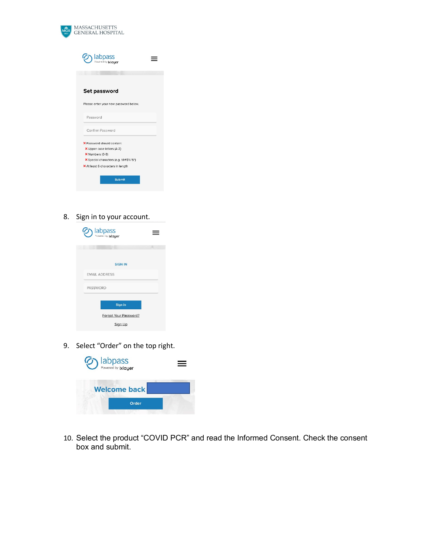

| <b>D</b> labpass                      |  |
|---------------------------------------|--|
|                                       |  |
| Set password                          |  |
| Please enter your new password below. |  |
| Password                              |  |
| Confirm Password                      |  |
| X Password should contain:            |  |
| X Upper case letters (A-Z)            |  |
| X Numbers (0-9)                       |  |
| X Special characters (e.g. !@#\$%^&*) |  |
| X At least 6 characters in length     |  |
| <b>Submit</b>                         |  |

8. Sign in to your account.

| <b>D</b> labpass                 |  |
|----------------------------------|--|
|                                  |  |
| <b>SIGN IN</b>                   |  |
| <b>FMAIL ADDRESS</b>             |  |
| PASSWORD                         |  |
| Sign in                          |  |
| Forgot Your Password?<br>Sign Up |  |

9. Select "Order" on the top right.

| <b>D</b> labpass    |  |
|---------------------|--|
| <b>Welcome back</b> |  |
| Order               |  |
|                     |  |

10. Select the product "COVID PCR" and read the Informed Consent. Check the consent box and submit.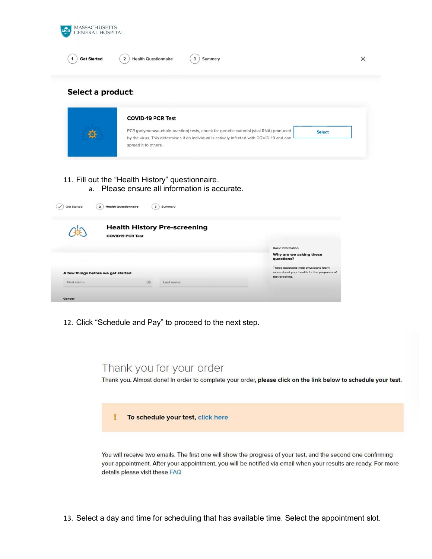

## Select a product:

|   | <b>COVID-19 PCR Test</b>                                                                  |               |
|---|-------------------------------------------------------------------------------------------|---------------|
| 9 | PCR (polymerase-chain-reaction) tests, check for genetic material (viral RNA) produced    | <b>Select</b> |
|   | by the virus. This determines if an individual is actively infected with COVID-19 and can |               |

- 11. Fill out the "Health History" questionnaire.
	- a. Please ensure all information is accurate.

|                                     | <b>COVID19 PCR Test</b> | <b>Health History Pre-screening</b> |                                                              |
|-------------------------------------|-------------------------|-------------------------------------|--------------------------------------------------------------|
|                                     |                         |                                     | <b>Basic Information</b>                                     |
| CONTRACTOR                          |                         |                                     | Why are we asking these<br>questions?                        |
|                                     |                         |                                     | These questions help physicians learn                        |
| A few things before we get started. |                         |                                     | more about your health for the purposes of<br>test ordering. |
| First name                          | 国                       | Last name                           |                                                              |

12. Click "Schedule and Pay" to proceed to the next step.

# Thank you for your order

Thank you. Almost done! In order to complete your order, please click on the link below to schedule your test.

To schedule your test, click here

You will receive two emails. The first one will show the progress of your test, and the second one confirming your appointment. After your appointment, you will be notified via email when your results are ready. For more details please visit these FAQ

13. Select a day and time for scheduling that has available time. Select the appointment slot.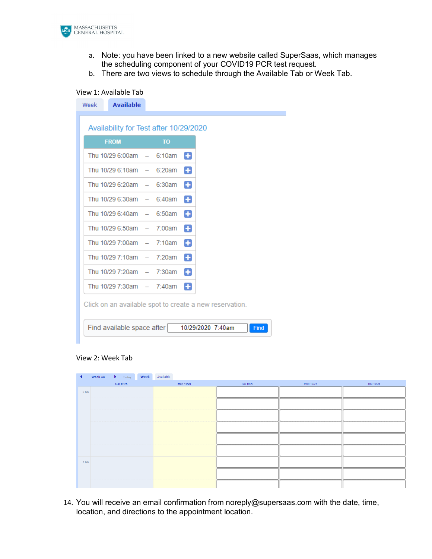

- a. Note: you have been linked to a new website called SuperSaas, which manages the scheduling component of your COVID19 PCR test request.
- b. There are two views to schedule through the Available Tab or Week Tab.

## View 1: Available Tab

|                             | Availability for Test after 10/29/2020 |   |
|-----------------------------|----------------------------------------|---|
| <b>FROM</b>                 | <b>TO</b>                              |   |
| Thu 10/29 6:00am $-$ 6:10am |                                        | Ð |
| Thu 10/29 6:10am $-$ 6:20am |                                        | ٨ |
| Thu 10/29 6:20am $-$ 6:30am |                                        | ٠ |
| Thu 10/29 6:30am $-$ 6:40am |                                        | 8 |
| Thu 10/29 6:40am $-$ 6:50am |                                        | Ð |
| Thu 10/29 6:50am $-$ 7:00am |                                        | o |
| Thu 10/29 7:00am $-$ 7:10am |                                        | Ð |
| Thu 10/29 7:10am $-$ 7:20am |                                        | Ð |
| Thu 10/29 7:20am $-$ 7:30am |                                        | ۰ |
| Thu 10/29 7:30am $-$ 7:40am |                                        | Ð |

## View 2: Week Tab

Find available space after

| ◀      | Week 44<br>$\blacktriangleright$ Today<br>Week | Available |           |           |           |
|--------|------------------------------------------------|-----------|-----------|-----------|-----------|
|        | Sun 10/25                                      | Mon 10/26 | Tue 10/27 | Wed 10/28 | Thu 10/29 |
| 6 am   |                                                |           |           |           |           |
|        |                                                |           |           |           |           |
|        |                                                |           |           |           |           |
|        |                                                |           |           |           |           |
|        |                                                |           |           |           |           |
|        |                                                |           |           |           |           |
| $7$ am |                                                |           |           |           |           |
|        |                                                |           |           |           |           |
|        |                                                |           |           |           |           |

Find

14. You will receive an email confirmation from noreply@supersaas.com with the date, time, location, and directions to the appointment location.

10/29/2020 7:40am